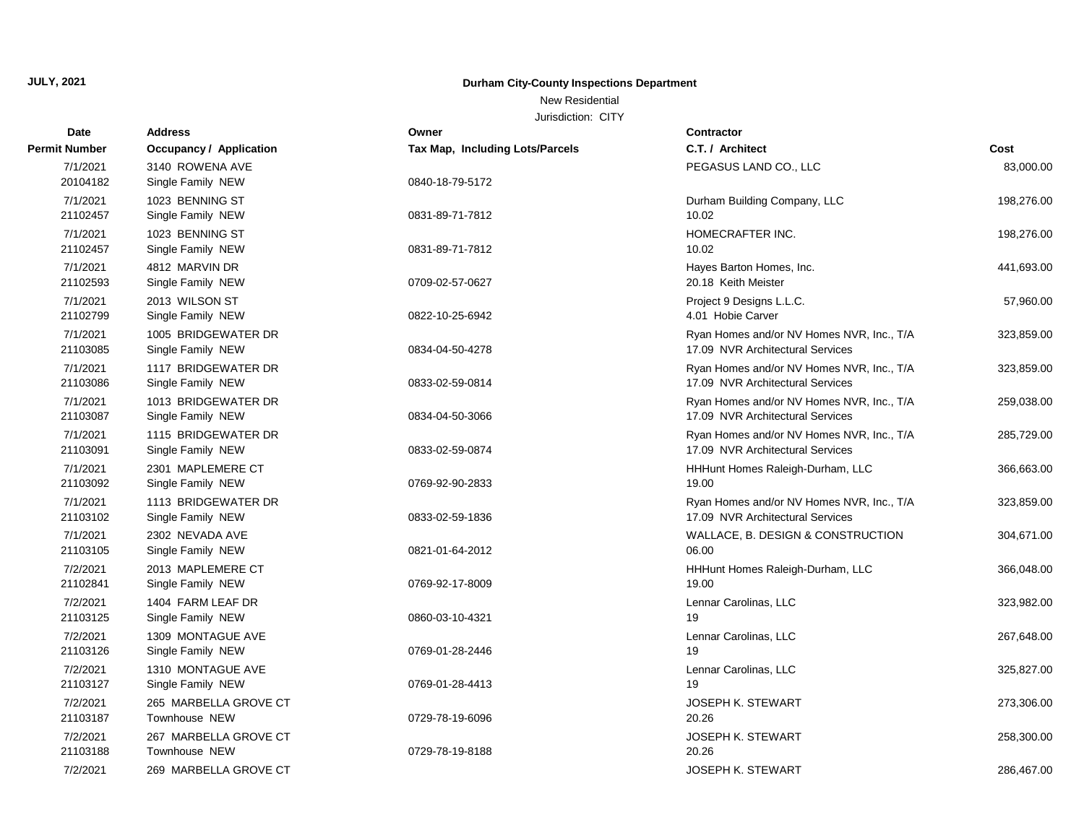# **Durham City-County Inspections Department**

## New Residential

| Date                 | <b>Address</b>                           | Owner                           | <b>Contractor</b>                                                             |            |
|----------------------|------------------------------------------|---------------------------------|-------------------------------------------------------------------------------|------------|
| <b>Permit Number</b> | <b>Occupancy / Application</b>           | Tax Map, Including Lots/Parcels | C.T. / Architect                                                              | Cost       |
| 7/1/2021             | 3140 ROWENA AVE                          |                                 | PEGASUS LAND CO., LLC                                                         | 83,000.00  |
| 20104182             | Single Family NEW                        | 0840-18-79-5172                 |                                                                               |            |
| 7/1/2021             | 1023 BENNING ST                          |                                 | Durham Building Company, LLC                                                  | 198,276.00 |
| 21102457             | Single Family NEW                        | 0831-89-71-7812                 | 10.02                                                                         |            |
| 7/1/2021             | 1023 BENNING ST                          |                                 | HOMECRAFTER INC.                                                              | 198,276.00 |
| 21102457             | Single Family NEW                        | 0831-89-71-7812                 | 10.02                                                                         |            |
| 7/1/2021             | 4812 MARVIN DR                           |                                 | Hayes Barton Homes, Inc.                                                      | 441,693.00 |
| 21102593             | Single Family NEW                        | 0709-02-57-0627                 | 20.18 Keith Meister                                                           |            |
| 7/1/2021             | 2013 WILSON ST                           |                                 | Project 9 Designs L.L.C.                                                      | 57,960.00  |
| 21102799             | Single Family NEW                        | 0822-10-25-6942                 | 4.01 Hobie Carver                                                             |            |
| 7/1/2021             | 1005 BRIDGEWATER DR                      |                                 | Ryan Homes and/or NV Homes NVR, Inc., T/A                                     | 323,859.00 |
| 21103085             | Single Family NEW                        | 0834-04-50-4278                 | 17.09 NVR Architectural Services                                              |            |
| 7/1/2021             | 1117 BRIDGEWATER DR                      |                                 | Ryan Homes and/or NV Homes NVR, Inc., T/A                                     | 323,859.00 |
| 21103086             | Single Family NEW                        | 0833-02-59-0814                 | 17.09 NVR Architectural Services                                              |            |
| 7/1/2021             | 1013 BRIDGEWATER DR                      |                                 | Ryan Homes and/or NV Homes NVR, Inc., T/A                                     | 259,038.00 |
| 21103087             | Single Family NEW                        | 0834-04-50-3066                 | 17.09 NVR Architectural Services                                              |            |
| 7/1/2021             | 1115 BRIDGEWATER DR                      |                                 | Ryan Homes and/or NV Homes NVR, Inc., T/A                                     | 285,729.00 |
| 21103091             | Single Family NEW                        | 0833-02-59-0874                 | 17.09 NVR Architectural Services                                              |            |
| 7/1/2021             | 2301 MAPLEMERE CT                        |                                 | HHHunt Homes Raleigh-Durham, LLC                                              | 366,663.00 |
| 21103092             | Single Family NEW                        | 0769-92-90-2833                 | 19.00                                                                         |            |
| 7/1/2021<br>21103102 | 1113 BRIDGEWATER DR<br>Single Family NEW | 0833-02-59-1836                 | Ryan Homes and/or NV Homes NVR, Inc., T/A<br>17.09 NVR Architectural Services | 323,859.00 |
|                      |                                          |                                 |                                                                               |            |
| 7/1/2021<br>21103105 | 2302 NEVADA AVE<br>Single Family NEW     | 0821-01-64-2012                 | WALLACE, B. DESIGN & CONSTRUCTION<br>06.00                                    | 304,671.00 |
|                      |                                          |                                 |                                                                               |            |
| 7/2/2021<br>21102841 | 2013 MAPLEMERE CT<br>Single Family NEW   | 0769-92-17-8009                 | HHHunt Homes Raleigh-Durham, LLC<br>19.00                                     | 366,048.00 |
| 7/2/2021             | 1404 FARM LEAF DR                        |                                 | Lennar Carolinas, LLC                                                         | 323,982.00 |
| 21103125             | Single Family NEW                        | 0860-03-10-4321                 | 19                                                                            |            |
| 7/2/2021             | 1309 MONTAGUE AVE                        |                                 | Lennar Carolinas, LLC                                                         | 267,648.00 |
| 21103126             | Single Family NEW                        | 0769-01-28-2446                 | 19                                                                            |            |
| 7/2/2021             | 1310 MONTAGUE AVE                        |                                 | Lennar Carolinas, LLC                                                         | 325,827.00 |
| 21103127             | Single Family NEW                        | 0769-01-28-4413                 | 19                                                                            |            |
| 7/2/2021             | 265 MARBELLA GROVE CT                    |                                 | <b>JOSEPH K. STEWART</b>                                                      | 273,306.00 |
| 21103187             | Townhouse NEW                            | 0729-78-19-6096                 | 20.26                                                                         |            |
| 7/2/2021             | 267 MARBELLA GROVE CT                    |                                 | <b>JOSEPH K. STEWART</b>                                                      | 258,300.00 |
| 21103188             | Townhouse NEW                            | 0729-78-19-8188                 | 20.26                                                                         |            |
| 7/2/2021             | 269 MARBELLA GROVE CT                    |                                 | <b>JOSEPH K. STEWART</b>                                                      | 286,467.00 |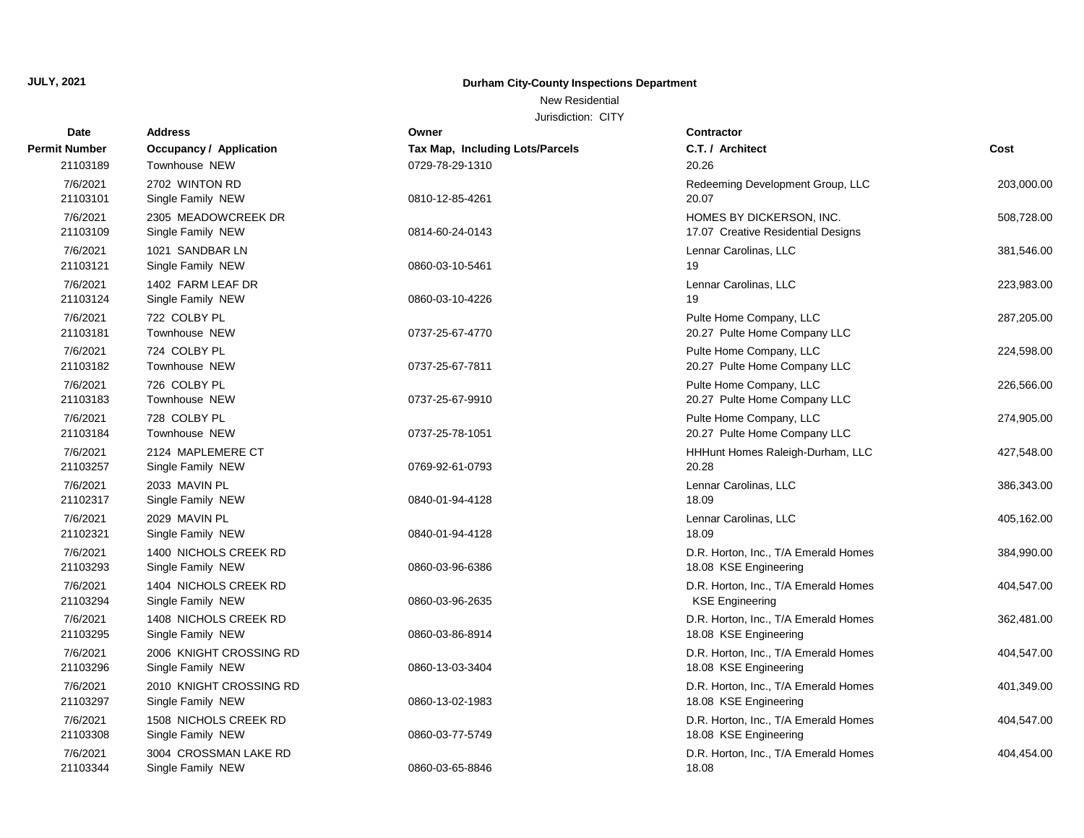# **Durham City-County Inspections Department**

# New Residential

| Date                 | <b>Address</b>                               | Owner                           | Contractor                                                     |            |
|----------------------|----------------------------------------------|---------------------------------|----------------------------------------------------------------|------------|
| <b>Permit Number</b> | <b>Occupancy / Application</b>               | Tax Map, Including Lots/Parcels | C.T. / Architect                                               | Cost       |
| 21103189             | Townhouse NEW                                | 0729-78-29-1310                 | 20.26                                                          |            |
| 7/6/2021<br>21103101 | 2702 WINTON RD<br>Single Family NEW          | 0810-12-85-4261                 | Redeeming Development Group, LLC<br>20.07                      | 203,000.00 |
| 7/6/2021<br>21103109 | 2305 MEADOWCREEK DR<br>Single Family NEW     | 0814-60-24-0143                 | HOMES BY DICKERSON, INC.<br>17.07 Creative Residential Designs | 508,728.00 |
| 7/6/2021<br>21103121 | 1021 SANDBAR LN<br>Single Family NEW         | 0860-03-10-5461                 | Lennar Carolinas, LLC<br>19                                    | 381,546.00 |
| 7/6/2021<br>21103124 | 1402 FARM LEAF DR<br>Single Family NEW       | 0860-03-10-4226                 | Lennar Carolinas, LLC<br>19                                    | 223,983.00 |
| 7/6/2021<br>21103181 | 722 COLBY PL<br>Townhouse NEW                | 0737-25-67-4770                 | Pulte Home Company, LLC<br>20.27 Pulte Home Company LLC        | 287,205.00 |
| 7/6/2021<br>21103182 | 724 COLBY PL<br>Townhouse NEW                | 0737-25-67-7811                 | Pulte Home Company, LLC<br>20.27 Pulte Home Company LLC        | 224,598.00 |
| 7/6/2021<br>21103183 | 726 COLBY PL<br>Townhouse NEW                | 0737-25-67-9910                 | Pulte Home Company, LLC<br>20.27 Pulte Home Company LLC        | 226,566.00 |
| 7/6/2021<br>21103184 | 728 COLBY PL<br>Townhouse NEW                | 0737-25-78-1051                 | Pulte Home Company, LLC<br>20.27 Pulte Home Company LLC        | 274,905.00 |
| 7/6/2021<br>21103257 | 2124 MAPLEMERE CT<br>Single Family NEW       | 0769-92-61-0793                 | HHHunt Homes Raleigh-Durham, LLC<br>20.28                      | 427,548.00 |
| 7/6/2021<br>21102317 | 2033 MAVIN PL<br>Single Family NEW           | 0840-01-94-4128                 | Lennar Carolinas, LLC<br>18.09                                 | 386,343.00 |
| 7/6/2021<br>21102321 | 2029 MAVIN PL<br>Single Family NEW           | 0840-01-94-4128                 | Lennar Carolinas, LLC<br>18.09                                 | 405,162.00 |
| 7/6/2021<br>21103293 | 1400 NICHOLS CREEK RD<br>Single Family NEW   | 0860-03-96-6386                 | D.R. Horton, Inc., T/A Emerald Homes<br>18.08 KSE Engineering  | 384,990.00 |
| 7/6/2021<br>21103294 | 1404 NICHOLS CREEK RD<br>Single Family NEW   | 0860-03-96-2635                 | D.R. Horton, Inc., T/A Emerald Homes<br><b>KSE Engineering</b> | 404,547.00 |
| 7/6/2021<br>21103295 | 1408 NICHOLS CREEK RD<br>Single Family NEW   | 0860-03-86-8914                 | D.R. Horton, Inc., T/A Emerald Homes<br>18.08 KSE Engineering  | 362,481.00 |
| 7/6/2021<br>21103296 | 2006 KNIGHT CROSSING RD<br>Single Family NEW | 0860-13-03-3404                 | D.R. Horton, Inc., T/A Emerald Homes<br>18.08 KSE Engineering  | 404,547.00 |
| 7/6/2021<br>21103297 | 2010 KNIGHT CROSSING RD<br>Single Family NEW | 0860-13-02-1983                 | D.R. Horton, Inc., T/A Emerald Homes<br>18.08 KSE Engineering  | 401,349.00 |
| 7/6/2021<br>21103308 | 1508 NICHOLS CREEK RD<br>Single Family NEW   | 0860-03-77-5749                 | D.R. Horton, Inc., T/A Emerald Homes<br>18.08 KSE Engineering  | 404,547.00 |
| 7/6/2021<br>21103344 | 3004 CROSSMAN LAKE RD<br>Single Family NEW   | 0860-03-65-8846                 | D.R. Horton, Inc., T/A Emerald Homes<br>18.08                  | 404,454.00 |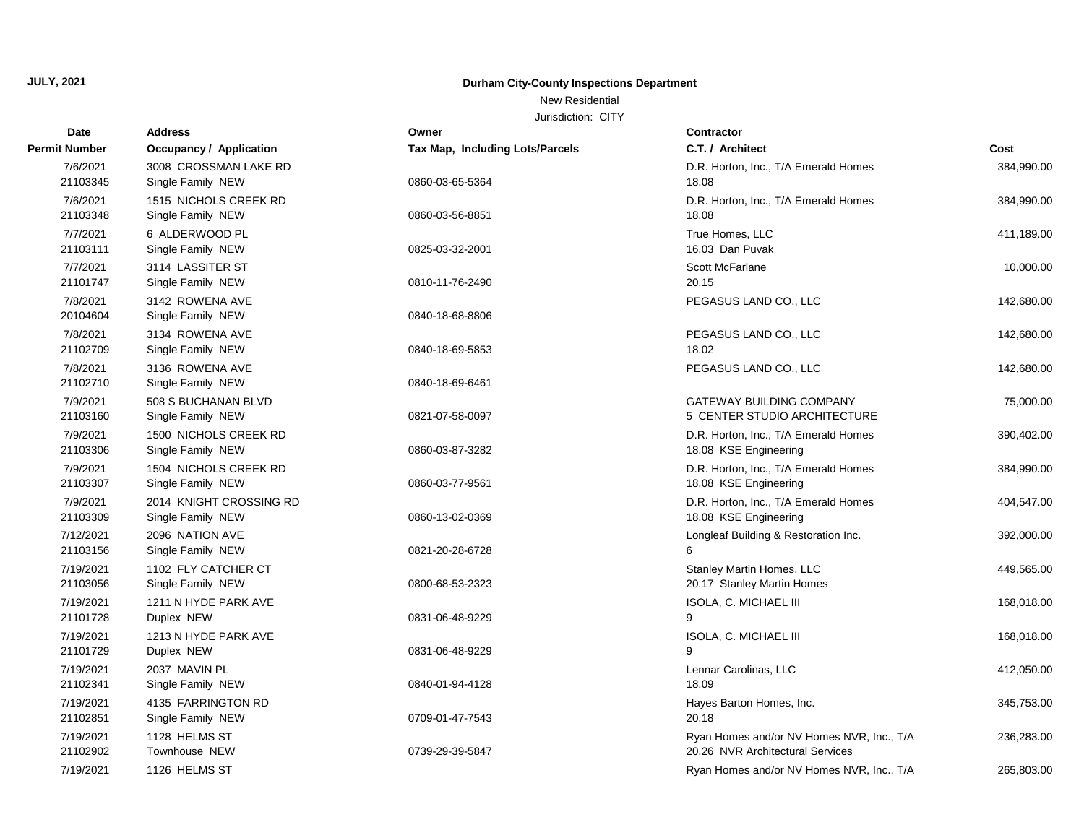# **Durham City-County Inspections Department**

New Residential

| <b>Date</b>           | <b>Address</b>                               | Owner                           | <b>Contractor</b>                                                             |            |
|-----------------------|----------------------------------------------|---------------------------------|-------------------------------------------------------------------------------|------------|
| Permit Number         | <b>Occupancy / Application</b>               | Tax Map, Including Lots/Parcels | C.T. / Architect                                                              | Cost       |
| 7/6/2021<br>21103345  | 3008 CROSSMAN LAKE RD<br>Single Family NEW   | 0860-03-65-5364                 | D.R. Horton, Inc., T/A Emerald Homes<br>18.08                                 | 384,990.00 |
| 7/6/2021<br>21103348  | 1515 NICHOLS CREEK RD<br>Single Family NEW   | 0860-03-56-8851                 | D.R. Horton, Inc., T/A Emerald Homes<br>18.08                                 | 384,990.00 |
| 7/7/2021<br>21103111  | 6 ALDERWOOD PL<br>Single Family NEW          | 0825-03-32-2001                 | True Homes, LLC<br>16.03 Dan Puvak                                            | 411,189.00 |
| 7/7/2021<br>21101747  | 3114 LASSITER ST<br>Single Family NEW        | 0810-11-76-2490                 | Scott McFarlane<br>20.15                                                      | 10,000.00  |
| 7/8/2021<br>20104604  | 3142 ROWENA AVE<br>Single Family NEW         | 0840-18-68-8806                 | PEGASUS LAND CO., LLC                                                         | 142,680.00 |
| 7/8/2021<br>21102709  | 3134 ROWENA AVE<br>Single Family NEW         | 0840-18-69-5853                 | PEGASUS LAND CO., LLC<br>18.02                                                | 142,680.00 |
| 7/8/2021<br>21102710  | 3136 ROWENA AVE<br>Single Family NEW         | 0840-18-69-6461                 | PEGASUS LAND CO., LLC                                                         | 142,680.00 |
| 7/9/2021<br>21103160  | 508 S BUCHANAN BLVD<br>Single Family NEW     | 0821-07-58-0097                 | <b>GATEWAY BUILDING COMPANY</b><br>5 CENTER STUDIO ARCHITECTURE               | 75,000.00  |
| 7/9/2021<br>21103306  | 1500 NICHOLS CREEK RD<br>Single Family NEW   | 0860-03-87-3282                 | D.R. Horton, Inc., T/A Emerald Homes<br>18.08 KSE Engineering                 | 390,402.00 |
| 7/9/2021<br>21103307  | 1504 NICHOLS CREEK RD<br>Single Family NEW   | 0860-03-77-9561                 | D.R. Horton, Inc., T/A Emerald Homes<br>18.08 KSE Engineering                 | 384,990.00 |
| 7/9/2021<br>21103309  | 2014 KNIGHT CROSSING RD<br>Single Family NEW | 0860-13-02-0369                 | D.R. Horton, Inc., T/A Emerald Homes<br>18.08 KSE Engineering                 | 404,547.00 |
| 7/12/2021<br>21103156 | 2096 NATION AVE<br>Single Family NEW         | 0821-20-28-6728                 | Longleaf Building & Restoration Inc.<br>6                                     | 392,000.00 |
| 7/19/2021<br>21103056 | 1102 FLY CATCHER CT<br>Single Family NEW     | 0800-68-53-2323                 | Stanley Martin Homes, LLC<br>20.17 Stanley Martin Homes                       | 449,565.00 |
| 7/19/2021<br>21101728 | 1211 N HYDE PARK AVE<br>Duplex NEW           | 0831-06-48-9229                 | ISOLA, C. MICHAEL III<br>9                                                    | 168,018.00 |
| 7/19/2021<br>21101729 | 1213 N HYDE PARK AVE<br>Duplex NEW           | 0831-06-48-9229                 | ISOLA, C. MICHAEL III<br>$\mathbf{Q}$                                         | 168,018.00 |
| 7/19/2021<br>21102341 | 2037 MAVIN PL<br>Single Family NEW           | 0840-01-94-4128                 | Lennar Carolinas, LLC<br>18.09                                                | 412,050.00 |
| 7/19/2021<br>21102851 | 4135 FARRINGTON RD<br>Single Family NEW      | 0709-01-47-7543                 | Hayes Barton Homes, Inc.<br>20.18                                             | 345,753.00 |
| 7/19/2021<br>21102902 | 1128 HELMS ST<br>Townhouse NEW               | 0739-29-39-5847                 | Ryan Homes and/or NV Homes NVR, Inc., T/A<br>20.26 NVR Architectural Services | 236,283.00 |
| 7/19/2021             | 1126 HELMS ST                                |                                 | Ryan Homes and/or NV Homes NVR, Inc., T/A                                     | 265,803.00 |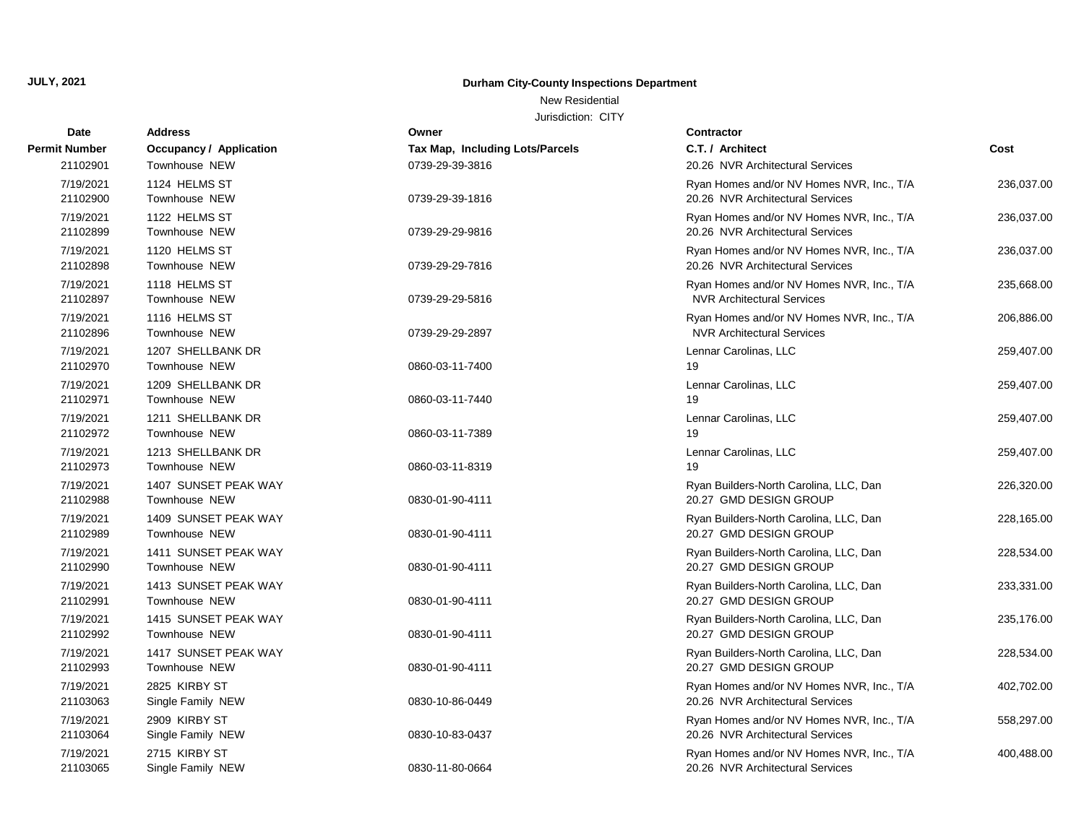# **Durham City-County Inspections Department**

New Residential

| Date                  | Address                                      | Owner                           | <b>Contractor</b>                                                              |            |
|-----------------------|----------------------------------------------|---------------------------------|--------------------------------------------------------------------------------|------------|
| Permit Number         | <b>Occupancy / Application</b>               | Tax Map, Including Lots/Parcels | C.T. / Architect                                                               | Cost       |
| 21102901              | <b>Townhouse NEW</b>                         | 0739-29-39-3816                 | 20.26 NVR Architectural Services                                               |            |
| 7/19/2021<br>21102900 | 1124 HELMS ST<br>Townhouse NEW               | 0739-29-39-1816                 | Ryan Homes and/or NV Homes NVR, Inc., T/A<br>20.26 NVR Architectural Services  | 236,037.00 |
| 7/19/2021<br>21102899 | 1122 HELMS ST<br><b>Townhouse NEW</b>        | 0739-29-29-9816                 | Ryan Homes and/or NV Homes NVR, Inc., T/A<br>20.26 NVR Architectural Services  | 236,037.00 |
| 7/19/2021<br>21102898 | 1120 HELMS ST<br>Townhouse NEW               | 0739-29-29-7816                 | Ryan Homes and/or NV Homes NVR, Inc., T/A<br>20.26 NVR Architectural Services  | 236,037.00 |
| 7/19/2021<br>21102897 | 1118 HELMS ST<br><b>Townhouse NEW</b>        | 0739-29-29-5816                 | Ryan Homes and/or NV Homes NVR, Inc., T/A<br><b>NVR Architectural Services</b> | 235,668.00 |
| 7/19/2021<br>21102896 | 1116 HELMS ST<br>Townhouse NEW               | 0739-29-29-2897                 | Ryan Homes and/or NV Homes NVR, Inc., T/A<br><b>NVR Architectural Services</b> | 206,886.00 |
| 7/19/2021<br>21102970 | 1207 SHELLBANK DR<br><b>Townhouse NEW</b>    | 0860-03-11-7400                 | Lennar Carolinas, LLC<br>19                                                    | 259,407.00 |
| 7/19/2021<br>21102971 | 1209 SHELLBANK DR<br>Townhouse NEW           | 0860-03-11-7440                 | Lennar Carolinas, LLC<br>19                                                    | 259,407.00 |
| 7/19/2021<br>21102972 | 1211 SHELLBANK DR<br>Townhouse NEW           | 0860-03-11-7389                 | Lennar Carolinas, LLC<br>19                                                    | 259,407.00 |
| 7/19/2021<br>21102973 | 1213 SHELLBANK DR<br><b>Townhouse NEW</b>    | 0860-03-11-8319                 | Lennar Carolinas, LLC<br>19                                                    | 259,407.00 |
| 7/19/2021<br>21102988 | 1407 SUNSET PEAK WAY<br>Townhouse NEW        | 0830-01-90-4111                 | Ryan Builders-North Carolina, LLC, Dan<br>20.27 GMD DESIGN GROUP               | 226,320.00 |
| 7/19/2021<br>21102989 | 1409 SUNSET PEAK WAY<br><b>Townhouse NEW</b> | 0830-01-90-4111                 | Ryan Builders-North Carolina, LLC, Dan<br>20.27 GMD DESIGN GROUP               | 228,165.00 |
| 7/19/2021<br>21102990 | 1411 SUNSET PEAK WAY<br><b>Townhouse NEW</b> | 0830-01-90-4111                 | Ryan Builders-North Carolina, LLC, Dan<br>20.27 GMD DESIGN GROUP               | 228,534.00 |
| 7/19/2021<br>21102991 | 1413 SUNSET PEAK WAY<br><b>Townhouse NEW</b> | 0830-01-90-4111                 | Ryan Builders-North Carolina, LLC, Dan<br>20.27 GMD DESIGN GROUP               | 233,331.00 |
| 7/19/2021<br>21102992 | 1415 SUNSET PEAK WAY<br>Townhouse NEW        | 0830-01-90-4111                 | Ryan Builders-North Carolina, LLC, Dan<br>20.27 GMD DESIGN GROUP               | 235,176.00 |
| 7/19/2021<br>21102993 | 1417 SUNSET PEAK WAY<br><b>Townhouse NEW</b> | 0830-01-90-4111                 | Ryan Builders-North Carolina, LLC, Dan<br>20.27 GMD DESIGN GROUP               | 228,534.00 |
| 7/19/2021<br>21103063 | 2825 KIRBY ST<br>Single Family NEW           | 0830-10-86-0449                 | Ryan Homes and/or NV Homes NVR, Inc., T/A<br>20.26 NVR Architectural Services  | 402,702.00 |
| 7/19/2021<br>21103064 | 2909 KIRBY ST<br>Single Family NEW           | 0830-10-83-0437                 | Ryan Homes and/or NV Homes NVR, Inc., T/A<br>20.26 NVR Architectural Services  | 558,297.00 |
| 7/19/2021<br>21103065 | 2715 KIRBY ST<br>Single Family NEW           | 0830-11-80-0664                 | Ryan Homes and/or NV Homes NVR, Inc., T/A<br>20.26 NVR Architectural Services  | 400,488.00 |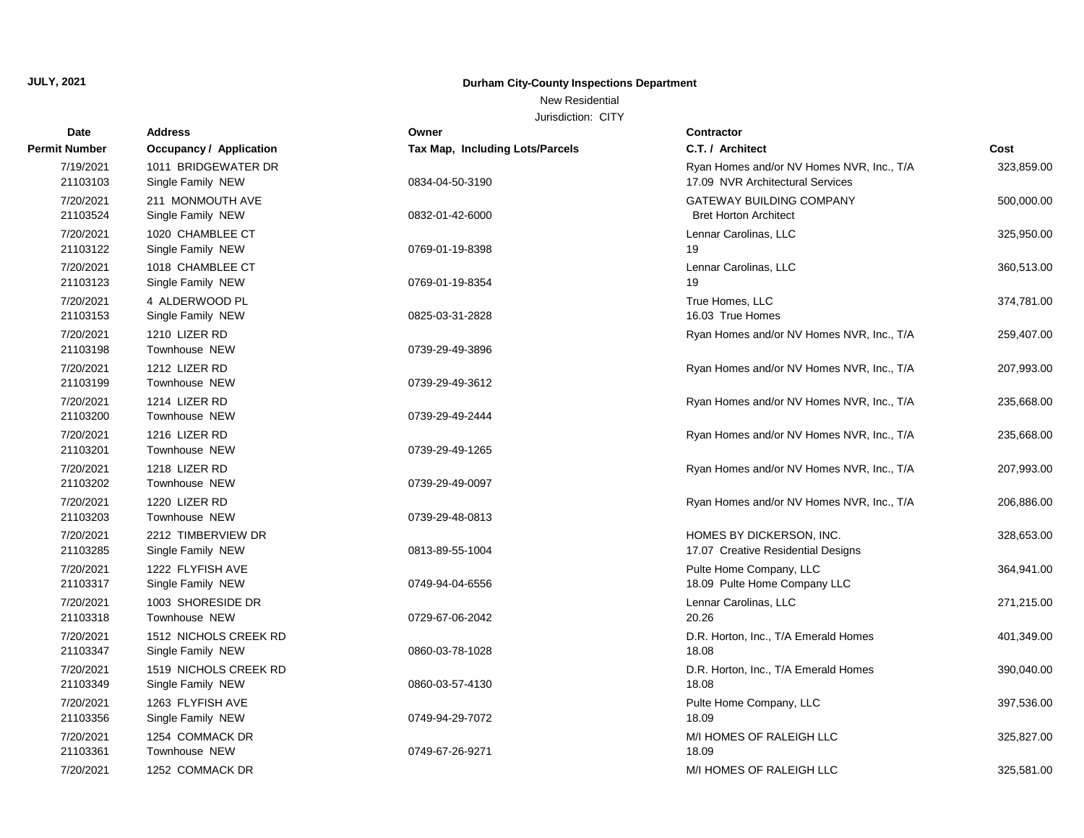# **Durham City-County Inspections Department**

## New Residential

| Date                  | <b>Address</b>                             | Owner                           | <b>Contractor</b>                                                             |            |
|-----------------------|--------------------------------------------|---------------------------------|-------------------------------------------------------------------------------|------------|
| <b>Permit Number</b>  | <b>Occupancy / Application</b>             | Tax Map, Including Lots/Parcels | C.T. / Architect                                                              | Cost       |
| 7/19/2021<br>21103103 | 1011 BRIDGEWATER DR<br>Single Family NEW   | 0834-04-50-3190                 | Ryan Homes and/or NV Homes NVR, Inc., T/A<br>17.09 NVR Architectural Services | 323,859.00 |
| 7/20/2021<br>21103524 | 211 MONMOUTH AVE<br>Single Family NEW      | 0832-01-42-6000                 | <b>GATEWAY BUILDING COMPANY</b><br><b>Bret Horton Architect</b>               | 500,000.00 |
| 7/20/2021<br>21103122 | 1020 CHAMBLEE CT<br>Single Family NEW      | 0769-01-19-8398                 | Lennar Carolinas, LLC<br>19                                                   | 325,950.00 |
| 7/20/2021<br>21103123 | 1018 CHAMBLEE CT<br>Single Family NEW      | 0769-01-19-8354                 | Lennar Carolinas, LLC<br>19                                                   | 360,513.00 |
| 7/20/2021<br>21103153 | 4 ALDERWOOD PL<br>Single Family NEW        | 0825-03-31-2828                 | True Homes, LLC<br>16.03 True Homes                                           | 374,781.00 |
| 7/20/2021<br>21103198 | 1210 LIZER RD<br>Townhouse NEW             | 0739-29-49-3896                 | Ryan Homes and/or NV Homes NVR, Inc., T/A                                     | 259,407.00 |
| 7/20/2021<br>21103199 | 1212 LIZER RD<br>Townhouse NEW             | 0739-29-49-3612                 | Ryan Homes and/or NV Homes NVR, Inc., T/A                                     | 207,993.00 |
| 7/20/2021<br>21103200 | 1214 LIZER RD<br>Townhouse NEW             | 0739-29-49-2444                 | Ryan Homes and/or NV Homes NVR, Inc., T/A                                     | 235,668.00 |
| 7/20/2021<br>21103201 | 1216 LIZER RD<br>Townhouse NEW             | 0739-29-49-1265                 | Ryan Homes and/or NV Homes NVR, Inc., T/A                                     | 235,668.00 |
| 7/20/2021<br>21103202 | 1218 LIZER RD<br>Townhouse NEW             | 0739-29-49-0097                 | Ryan Homes and/or NV Homes NVR, Inc., T/A                                     | 207,993.00 |
| 7/20/2021<br>21103203 | 1220 LIZER RD<br><b>Townhouse NEW</b>      | 0739-29-48-0813                 | Ryan Homes and/or NV Homes NVR, Inc., T/A                                     | 206,886.00 |
| 7/20/2021<br>21103285 | 2212 TIMBERVIEW DR<br>Single Family NEW    | 0813-89-55-1004                 | HOMES BY DICKERSON, INC.<br>17.07 Creative Residential Designs                | 328,653.00 |
| 7/20/2021<br>21103317 | 1222 FLYFISH AVE<br>Single Family NEW      | 0749-94-04-6556                 | Pulte Home Company, LLC<br>18.09 Pulte Home Company LLC                       | 364,941.00 |
| 7/20/2021<br>21103318 | 1003 SHORESIDE DR<br><b>Townhouse NEW</b>  | 0729-67-06-2042                 | Lennar Carolinas, LLC<br>20.26                                                | 271,215.00 |
| 7/20/2021<br>21103347 | 1512 NICHOLS CREEK RD<br>Single Family NEW | 0860-03-78-1028                 | D.R. Horton, Inc., T/A Emerald Homes<br>18.08                                 | 401,349.00 |
| 7/20/2021<br>21103349 | 1519 NICHOLS CREEK RD<br>Single Family NEW | 0860-03-57-4130                 | D.R. Horton, Inc., T/A Emerald Homes<br>18.08                                 | 390,040.00 |
| 7/20/2021<br>21103356 | 1263 FLYFISH AVE<br>Single Family NEW      | 0749-94-29-7072                 | Pulte Home Company, LLC<br>18.09                                              | 397,536.00 |
| 7/20/2021<br>21103361 | 1254 COMMACK DR<br>Townhouse NEW           | 0749-67-26-9271                 | M/I HOMES OF RALEIGH LLC<br>18.09                                             | 325,827.00 |
| 7/20/2021             | 1252 COMMACK DR                            |                                 | M/I HOMES OF RALEIGH LLC                                                      | 325,581.00 |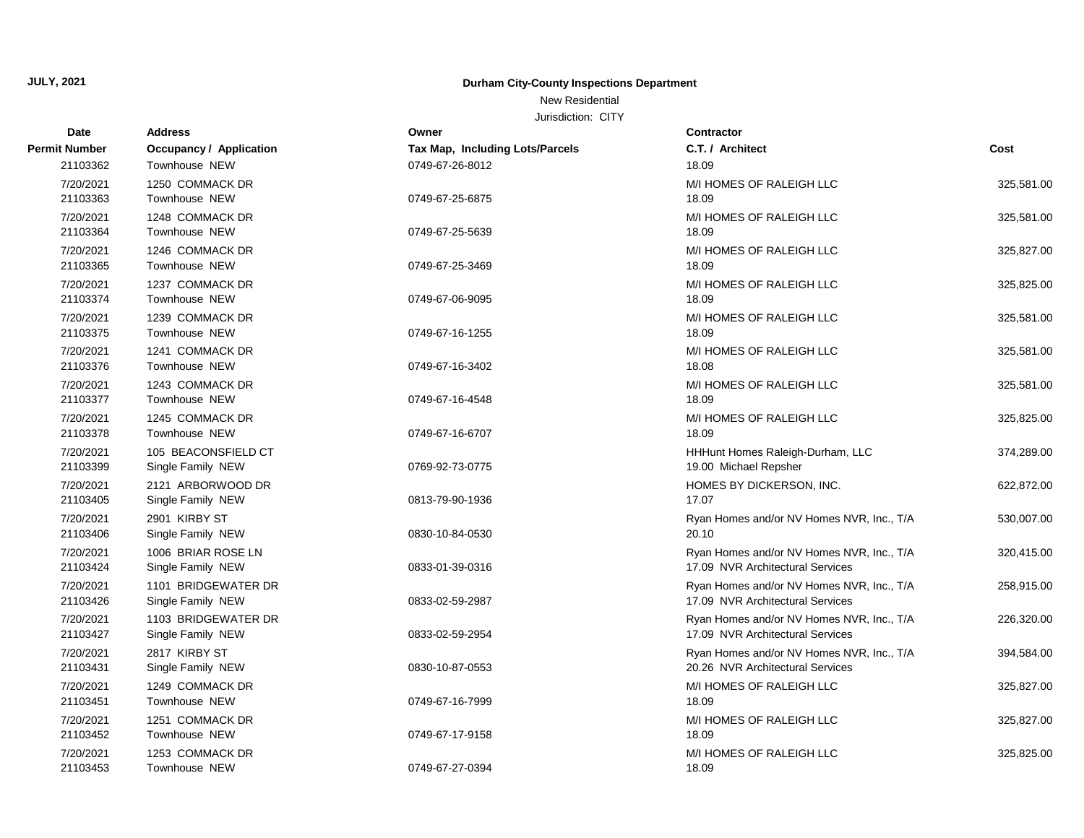# **Durham City-County Inspections Department**

# New Residential

| Date                  | <b>Address</b>                           | Owner                           | <b>Contractor</b>                                                             |            |
|-----------------------|------------------------------------------|---------------------------------|-------------------------------------------------------------------------------|------------|
| Permit Number         | <b>Occupancy / Application</b>           | Tax Map, Including Lots/Parcels | C.T. / Architect                                                              | Cost       |
| 21103362              | Townhouse NEW                            | 0749-67-26-8012                 | 18.09                                                                         |            |
| 7/20/2021<br>21103363 | 1250 COMMACK DR<br>Townhouse NEW         | 0749-67-25-6875                 | M/I HOMES OF RALEIGH LLC<br>18.09                                             | 325,581.00 |
| 7/20/2021<br>21103364 | 1248 COMMACK DR<br>Townhouse NEW         | 0749-67-25-5639                 | M/I HOMES OF RALEIGH LLC<br>18.09                                             | 325,581.00 |
| 7/20/2021<br>21103365 | 1246 COMMACK DR<br>Townhouse NEW         | 0749-67-25-3469                 | M/I HOMES OF RALEIGH LLC<br>18.09                                             | 325,827.00 |
| 7/20/2021<br>21103374 | 1237 COMMACK DR<br>Townhouse NEW         | 0749-67-06-9095                 | M/I HOMES OF RALEIGH LLC<br>18.09                                             | 325,825.00 |
| 7/20/2021<br>21103375 | 1239 COMMACK DR<br><b>Townhouse NEW</b>  | 0749-67-16-1255                 | M/I HOMES OF RALEIGH LLC<br>18.09                                             | 325,581.00 |
| 7/20/2021<br>21103376 | 1241 COMMACK DR<br><b>Townhouse NEW</b>  | 0749-67-16-3402                 | M/I HOMES OF RALEIGH LLC<br>18.08                                             | 325,581.00 |
| 7/20/2021<br>21103377 | 1243 COMMACK DR<br>Townhouse NEW         | 0749-67-16-4548                 | M/I HOMES OF RALEIGH LLC<br>18.09                                             | 325,581.00 |
| 7/20/2021<br>21103378 | 1245 COMMACK DR<br>Townhouse NEW         | 0749-67-16-6707                 | M/I HOMES OF RALEIGH LLC<br>18.09                                             | 325,825.00 |
| 7/20/2021<br>21103399 | 105 BEACONSFIELD CT<br>Single Family NEW | 0769-92-73-0775                 | HHHunt Homes Raleigh-Durham, LLC<br>19.00 Michael Repsher                     | 374,289.00 |
| 7/20/2021<br>21103405 | 2121 ARBORWOOD DR<br>Single Family NEW   | 0813-79-90-1936                 | HOMES BY DICKERSON, INC.<br>17.07                                             | 622,872.00 |
| 7/20/2021<br>21103406 | 2901 KIRBY ST<br>Single Family NEW       | 0830-10-84-0530                 | Ryan Homes and/or NV Homes NVR, Inc., T/A<br>20.10                            | 530,007.00 |
| 7/20/2021<br>21103424 | 1006 BRIAR ROSE LN<br>Single Family NEW  | 0833-01-39-0316                 | Ryan Homes and/or NV Homes NVR, Inc., T/A<br>17.09 NVR Architectural Services | 320,415.00 |
| 7/20/2021<br>21103426 | 1101 BRIDGEWATER DR<br>Single Family NEW | 0833-02-59-2987                 | Ryan Homes and/or NV Homes NVR, Inc., T/A<br>17.09 NVR Architectural Services | 258,915.00 |
| 7/20/2021<br>21103427 | 1103 BRIDGEWATER DR<br>Single Family NEW | 0833-02-59-2954                 | Ryan Homes and/or NV Homes NVR, Inc., T/A<br>17.09 NVR Architectural Services | 226,320.00 |
| 7/20/2021<br>21103431 | 2817 KIRBY ST<br>Single Family NEW       | 0830-10-87-0553                 | Ryan Homes and/or NV Homes NVR, Inc., T/A<br>20.26 NVR Architectural Services | 394,584.00 |
| 7/20/2021<br>21103451 | 1249 COMMACK DR<br>Townhouse NEW         | 0749-67-16-7999                 | M/I HOMES OF RALEIGH LLC<br>18.09                                             | 325,827.00 |
| 7/20/2021<br>21103452 | 1251 COMMACK DR<br>Townhouse NEW         | 0749-67-17-9158                 | M/I HOMES OF RALEIGH LLC<br>18.09                                             | 325,827.00 |
| 7/20/2021<br>21103453 | 1253 COMMACK DR<br><b>Townhouse NEW</b>  | 0749-67-27-0394                 | M/I HOMES OF RALEIGH LLC<br>18.09                                             | 325,825.00 |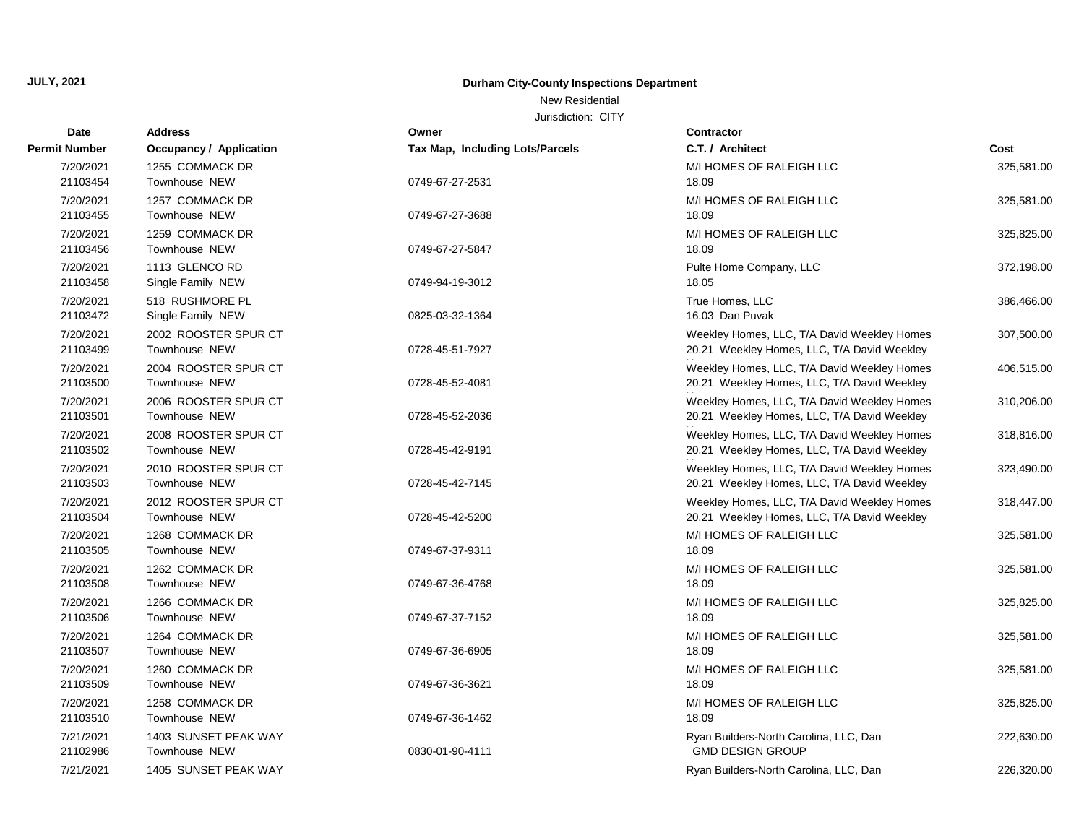# **Durham City-County Inspections Department**

## New Residential

| Date                  | <b>Address</b>                               | Owner                           | <b>Contractor</b>                                                                          |            |
|-----------------------|----------------------------------------------|---------------------------------|--------------------------------------------------------------------------------------------|------------|
| <b>Permit Number</b>  | Occupancy / Application                      | Tax Map, Including Lots/Parcels | C.T. / Architect                                                                           | Cost       |
| 7/20/2021<br>21103454 | 1255 COMMACK DR<br>Townhouse NEW             | 0749-67-27-2531                 | M/I HOMES OF RALEIGH LLC<br>18.09                                                          | 325,581.00 |
| 7/20/2021<br>21103455 | 1257 COMMACK DR<br>Townhouse NEW             | 0749-67-27-3688                 | M/I HOMES OF RALEIGH LLC<br>18.09                                                          | 325,581.00 |
| 7/20/2021<br>21103456 | 1259 COMMACK DR<br>Townhouse NEW             | 0749-67-27-5847                 | M/I HOMES OF RALEIGH LLC<br>18.09                                                          | 325,825.00 |
| 7/20/2021<br>21103458 | 1113 GLENCO RD<br>Single Family NEW          | 0749-94-19-3012                 | Pulte Home Company, LLC<br>18.05                                                           | 372,198.00 |
| 7/20/2021<br>21103472 | 518 RUSHMORE PL<br>Single Family NEW         | 0825-03-32-1364                 | True Homes, LLC<br>16.03 Dan Puvak                                                         | 386,466.00 |
| 7/20/2021<br>21103499 | 2002 ROOSTER SPUR CT<br>Townhouse NEW        | 0728-45-51-7927                 | Weekley Homes, LLC, T/A David Weekley Homes<br>20.21 Weekley Homes, LLC, T/A David Weekley | 307,500.00 |
| 7/20/2021<br>21103500 | 2004 ROOSTER SPUR CT<br><b>Townhouse NEW</b> | 0728-45-52-4081                 | Weekley Homes, LLC, T/A David Weekley Homes<br>20.21 Weekley Homes, LLC, T/A David Weekley | 406,515.00 |
| 7/20/2021<br>21103501 | 2006 ROOSTER SPUR CT<br>Townhouse NEW        | 0728-45-52-2036                 | Weekley Homes, LLC, T/A David Weekley Homes<br>20.21 Weekley Homes, LLC, T/A David Weekley | 310,206.00 |
| 7/20/2021<br>21103502 | 2008 ROOSTER SPUR CT<br>Townhouse NEW        | 0728-45-42-9191                 | Weekley Homes, LLC, T/A David Weekley Homes<br>20.21 Weekley Homes, LLC, T/A David Weekley | 318,816.00 |
| 7/20/2021<br>21103503 | 2010 ROOSTER SPUR CT<br>Townhouse NEW        | 0728-45-42-7145                 | Weekley Homes, LLC, T/A David Weekley Homes<br>20.21 Weekley Homes, LLC, T/A David Weekley | 323,490.00 |
| 7/20/2021<br>21103504 | 2012 ROOSTER SPUR CT<br>Townhouse NEW        | 0728-45-42-5200                 | Weekley Homes, LLC, T/A David Weekley Homes<br>20.21 Weekley Homes, LLC, T/A David Weekley | 318,447.00 |
| 7/20/2021<br>21103505 | 1268 COMMACK DR<br>Townhouse NEW             | 0749-67-37-9311                 | M/I HOMES OF RALEIGH LLC<br>18.09                                                          | 325,581.00 |
| 7/20/2021<br>21103508 | 1262 COMMACK DR<br>Townhouse NEW             | 0749-67-36-4768                 | M/I HOMES OF RALEIGH LLC<br>18.09                                                          | 325,581.00 |
| 7/20/2021<br>21103506 | 1266 COMMACK DR<br>Townhouse NEW             | 0749-67-37-7152                 | M/I HOMES OF RALEIGH LLC<br>18.09                                                          | 325,825.00 |
| 7/20/2021<br>21103507 | 1264 COMMACK DR<br>Townhouse NEW             | 0749-67-36-6905                 | M/I HOMES OF RALEIGH LLC<br>18.09                                                          | 325,581.00 |
| 7/20/2021<br>21103509 | 1260 COMMACK DR<br>Townhouse NEW             | 0749-67-36-3621                 | M/I HOMES OF RALEIGH LLC<br>18.09                                                          | 325,581.00 |
| 7/20/2021<br>21103510 | 1258 COMMACK DR<br>Townhouse NEW             | 0749-67-36-1462                 | M/I HOMES OF RALEIGH LLC<br>18.09                                                          | 325,825.00 |
| 7/21/2021<br>21102986 | 1403 SUNSET PEAK WAY<br>Townhouse NEW        | 0830-01-90-4111                 | Ryan Builders-North Carolina, LLC, Dan<br><b>GMD DESIGN GROUP</b>                          | 222,630.00 |
| 7/21/2021             | 1405 SUNSET PEAK WAY                         |                                 | Ryan Builders-North Carolina, LLC, Dan                                                     | 226,320.00 |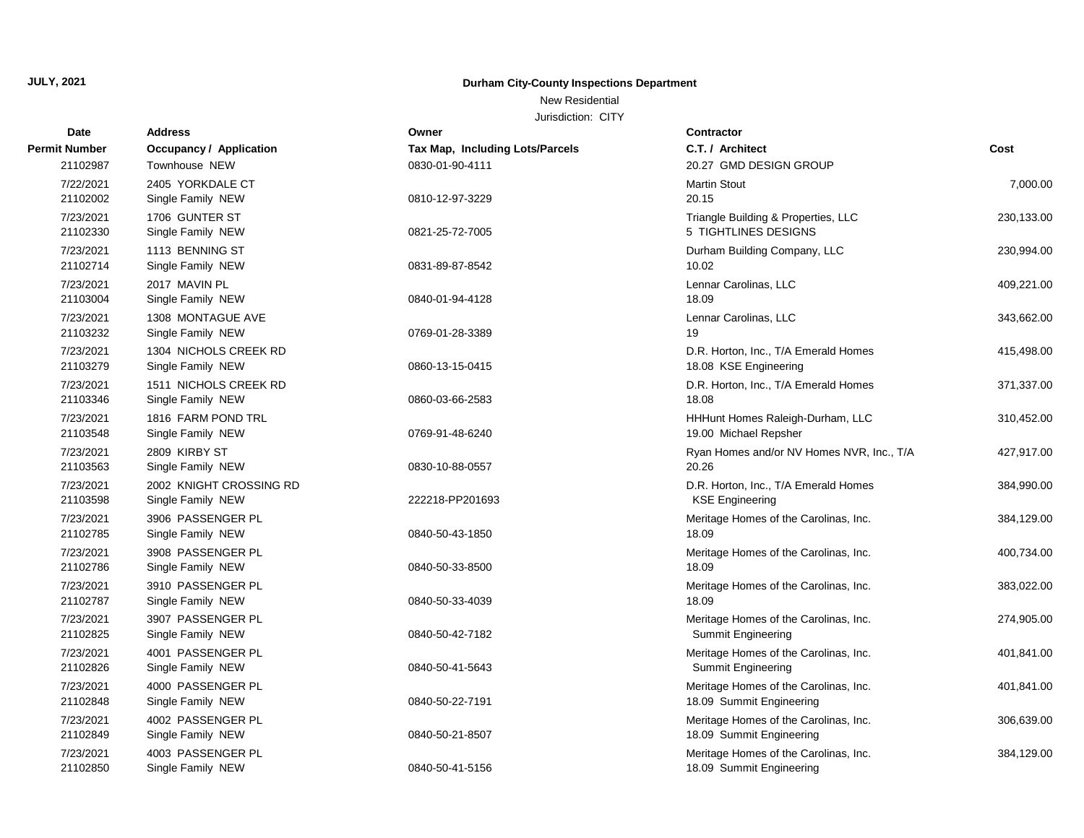# **Durham City-County Inspections Department**

# New Residential

| Date          | Address                        | Owner                           | <b>Contractor</b>                         |            |
|---------------|--------------------------------|---------------------------------|-------------------------------------------|------------|
| Permit Number | <b>Occupancy / Application</b> | Tax Map, Including Lots/Parcels | C.T. / Architect                          | Cost       |
| 21102987      | Townhouse NEW                  | 0830-01-90-4111                 | 20.27 GMD DESIGN GROUP                    |            |
| 7/22/2021     | 2405 YORKDALE CT               |                                 | <b>Martin Stout</b>                       | 7,000.00   |
| 21102002      | Single Family NEW              | 0810-12-97-3229                 | 20.15                                     |            |
| 7/23/2021     | 1706 GUNTER ST                 |                                 | Triangle Building & Properties, LLC       | 230,133.00 |
| 21102330      | Single Family NEW              | 0821-25-72-7005                 | 5 TIGHTLINES DESIGNS                      |            |
| 7/23/2021     | 1113 BENNING ST                |                                 | Durham Building Company, LLC              | 230,994.00 |
| 21102714      | Single Family NEW              | 0831-89-87-8542                 | 10.02                                     |            |
| 7/23/2021     | 2017 MAVIN PL                  |                                 | Lennar Carolinas, LLC                     | 409,221.00 |
| 21103004      | Single Family NEW              | 0840-01-94-4128                 | 18.09                                     |            |
| 7/23/2021     | 1308 MONTAGUE AVE              |                                 | Lennar Carolinas, LLC                     | 343,662.00 |
| 21103232      | Single Family NEW              | 0769-01-28-3389                 | 19                                        |            |
| 7/23/2021     | 1304 NICHOLS CREEK RD          |                                 | D.R. Horton, Inc., T/A Emerald Homes      | 415,498.00 |
| 21103279      | Single Family NEW              | 0860-13-15-0415                 | 18.08 KSE Engineering                     |            |
| 7/23/2021     | 1511 NICHOLS CREEK RD          |                                 | D.R. Horton, Inc., T/A Emerald Homes      | 371,337.00 |
| 21103346      | Single Family NEW              | 0860-03-66-2583                 | 18.08                                     |            |
| 7/23/2021     | 1816 FARM POND TRL             |                                 | HHHunt Homes Raleigh-Durham, LLC          | 310,452.00 |
| 21103548      | Single Family NEW              | 0769-91-48-6240                 | 19.00 Michael Repsher                     |            |
| 7/23/2021     | 2809 KIRBY ST                  |                                 | Ryan Homes and/or NV Homes NVR, Inc., T/A | 427,917.00 |
| 21103563      | Single Family NEW              | 0830-10-88-0557                 | 20.26                                     |            |
| 7/23/2021     | 2002 KNIGHT CROSSING RD        |                                 | D.R. Horton, Inc., T/A Emerald Homes      | 384,990.00 |
| 21103598      | Single Family NEW              | 222218-PP201693                 | <b>KSE Engineering</b>                    |            |
| 7/23/2021     | 3906 PASSENGER PL              |                                 | Meritage Homes of the Carolinas, Inc.     | 384,129.00 |
| 21102785      | Single Family NEW              | 0840-50-43-1850                 | 18.09                                     |            |
| 7/23/2021     | 3908 PASSENGER PL              |                                 | Meritage Homes of the Carolinas, Inc.     | 400,734.00 |
| 21102786      | Single Family NEW              | 0840-50-33-8500                 | 18.09                                     |            |
| 7/23/2021     | 3910 PASSENGER PL              |                                 | Meritage Homes of the Carolinas, Inc.     | 383,022.00 |
| 21102787      | Single Family NEW              | 0840-50-33-4039                 | 18.09                                     |            |
| 7/23/2021     | 3907 PASSENGER PL              |                                 | Meritage Homes of the Carolinas, Inc.     | 274,905.00 |
| 21102825      | Single Family NEW              | 0840-50-42-7182                 | <b>Summit Engineering</b>                 |            |
| 7/23/2021     | 4001 PASSENGER PL              |                                 | Meritage Homes of the Carolinas, Inc.     | 401,841.00 |
| 21102826      | Single Family NEW              | 0840-50-41-5643                 | Summit Engineering                        |            |
| 7/23/2021     | 4000 PASSENGER PL              |                                 | Meritage Homes of the Carolinas, Inc.     | 401,841.00 |
| 21102848      | Single Family NEW              | 0840-50-22-7191                 | 18.09 Summit Engineering                  |            |
| 7/23/2021     | 4002 PASSENGER PL              |                                 | Meritage Homes of the Carolinas, Inc.     | 306,639.00 |
| 21102849      | Single Family NEW              | 0840-50-21-8507                 | 18.09 Summit Engineering                  |            |
| 7/23/2021     | 4003 PASSENGER PL              |                                 | Meritage Homes of the Carolinas, Inc.     | 384,129.00 |
| 21102850      | Single Family NEW              | 0840-50-41-5156                 | 18.09 Summit Engineering                  |            |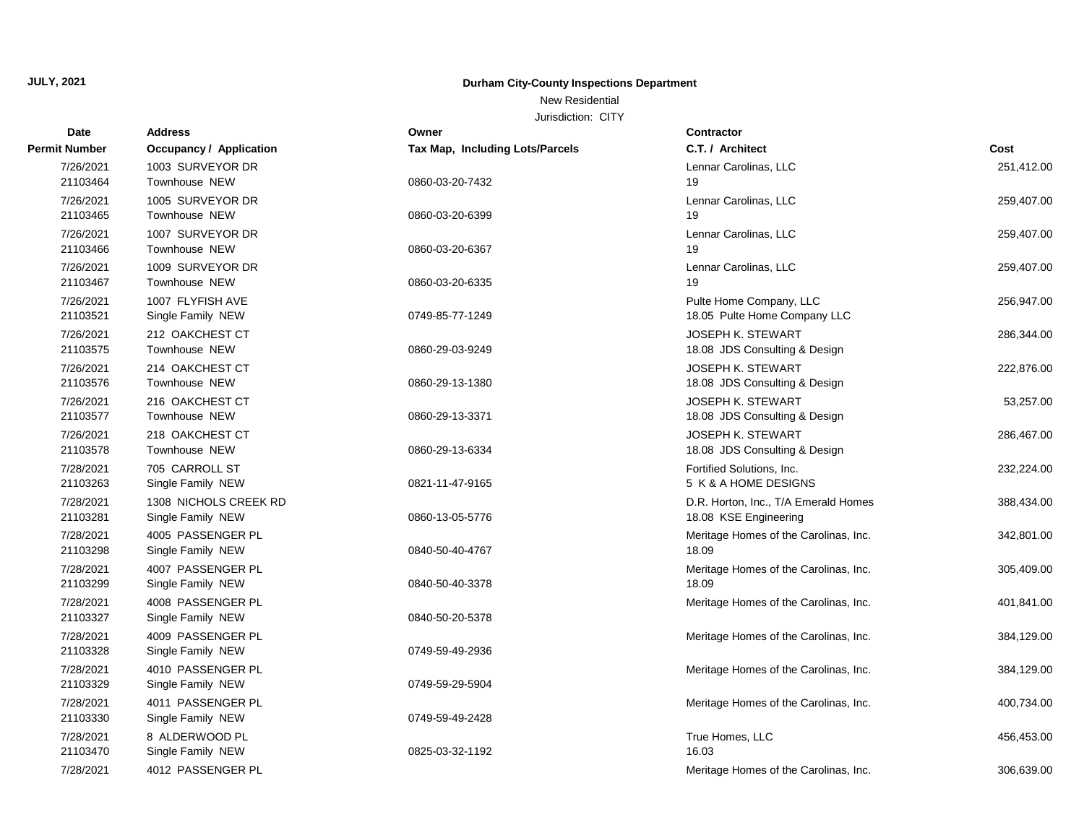# **Durham City-County Inspections Department**

## New Residential

| Date                  | <b>Address</b>                             | Owner                           | <b>Contractor</b>                                             |            |
|-----------------------|--------------------------------------------|---------------------------------|---------------------------------------------------------------|------------|
| Permit Number         | <b>Occupancy / Application</b>             | Tax Map, Including Lots/Parcels | C.T. / Architect                                              | Cost       |
| 7/26/2021             | 1003 SURVEYOR DR                           |                                 | Lennar Carolinas, LLC                                         | 251,412.00 |
| 21103464              | Townhouse NEW                              | 0860-03-20-7432                 | 19                                                            |            |
| 7/26/2021             | 1005 SURVEYOR DR                           |                                 | Lennar Carolinas, LLC                                         | 259,407.00 |
| 21103465              | Townhouse NEW                              | 0860-03-20-6399                 | 19                                                            |            |
| 7/26/2021             | 1007 SURVEYOR DR                           |                                 | Lennar Carolinas, LLC                                         | 259,407.00 |
| 21103466              | Townhouse NEW                              | 0860-03-20-6367                 | 19                                                            |            |
| 7/26/2021             | 1009 SURVEYOR DR                           |                                 | Lennar Carolinas, LLC                                         | 259,407.00 |
| 21103467              | Townhouse NEW                              | 0860-03-20-6335                 | 19                                                            |            |
| 7/26/2021             | 1007 FLYFISH AVE                           |                                 | Pulte Home Company, LLC                                       | 256,947.00 |
| 21103521              | Single Family NEW                          | 0749-85-77-1249                 | 18.05 Pulte Home Company LLC                                  |            |
| 7/26/2021             | 212 OAKCHEST CT                            |                                 | <b>JOSEPH K. STEWART</b>                                      | 286,344.00 |
| 21103575              | Townhouse NEW                              | 0860-29-03-9249                 | 18.08 JDS Consulting & Design                                 |            |
| 7/26/2021             | 214 OAKCHEST CT                            |                                 | <b>JOSEPH K. STEWART</b>                                      | 222,876.00 |
| 21103576              | Townhouse NEW                              | 0860-29-13-1380                 | 18.08 JDS Consulting & Design                                 |            |
| 7/26/2021             | 216 OAKCHEST CT                            |                                 | <b>JOSEPH K. STEWART</b>                                      | 53,257.00  |
| 21103577              | Townhouse NEW                              | 0860-29-13-3371                 | 18.08 JDS Consulting & Design                                 |            |
| 7/26/2021             | 218 OAKCHEST CT                            |                                 | <b>JOSEPH K. STEWART</b>                                      | 286,467.00 |
| 21103578              | Townhouse NEW                              | 0860-29-13-6334                 | 18.08 JDS Consulting & Design                                 |            |
| 7/28/2021<br>21103263 | 705 CARROLL ST<br>Single Family NEW        | 0821-11-47-9165                 | Fortified Solutions, Inc.<br>5 K & A HOME DESIGNS             | 232,224.00 |
|                       |                                            |                                 |                                                               |            |
| 7/28/2021<br>21103281 | 1308 NICHOLS CREEK RD<br>Single Family NEW | 0860-13-05-5776                 | D.R. Horton, Inc., T/A Emerald Homes<br>18.08 KSE Engineering | 388,434.00 |
|                       |                                            |                                 |                                                               |            |
| 7/28/2021<br>21103298 | 4005 PASSENGER PL<br>Single Family NEW     | 0840-50-40-4767                 | Meritage Homes of the Carolinas, Inc.<br>18.09                | 342,801.00 |
|                       |                                            |                                 |                                                               |            |
| 7/28/2021<br>21103299 | 4007 PASSENGER PL<br>Single Family NEW     | 0840-50-40-3378                 | Meritage Homes of the Carolinas, Inc.<br>18.09                | 305,409.00 |
| 7/28/2021             | 4008 PASSENGER PL                          |                                 | Meritage Homes of the Carolinas, Inc.                         | 401,841.00 |
| 21103327              | Single Family NEW                          | 0840-50-20-5378                 |                                                               |            |
| 7/28/2021             | 4009 PASSENGER PL                          |                                 | Meritage Homes of the Carolinas, Inc.                         | 384,129.00 |
| 21103328              | Single Family NEW                          | 0749-59-49-2936                 |                                                               |            |
| 7/28/2021             | 4010 PASSENGER PL                          |                                 | Meritage Homes of the Carolinas, Inc.                         | 384,129.00 |
| 21103329              | Single Family NEW                          | 0749-59-29-5904                 |                                                               |            |
| 7/28/2021             | 4011 PASSENGER PL                          |                                 | Meritage Homes of the Carolinas, Inc.                         | 400,734.00 |
| 21103330              | Single Family NEW                          | 0749-59-49-2428                 |                                                               |            |
| 7/28/2021             | 8 ALDERWOOD PL                             |                                 | True Homes, LLC                                               | 456,453.00 |
| 21103470              | Single Family NEW                          | 0825-03-32-1192                 | 16.03                                                         |            |
| 7/28/2021             | 4012 PASSENGER PL                          |                                 | Meritage Homes of the Carolinas, Inc.                         | 306,639.00 |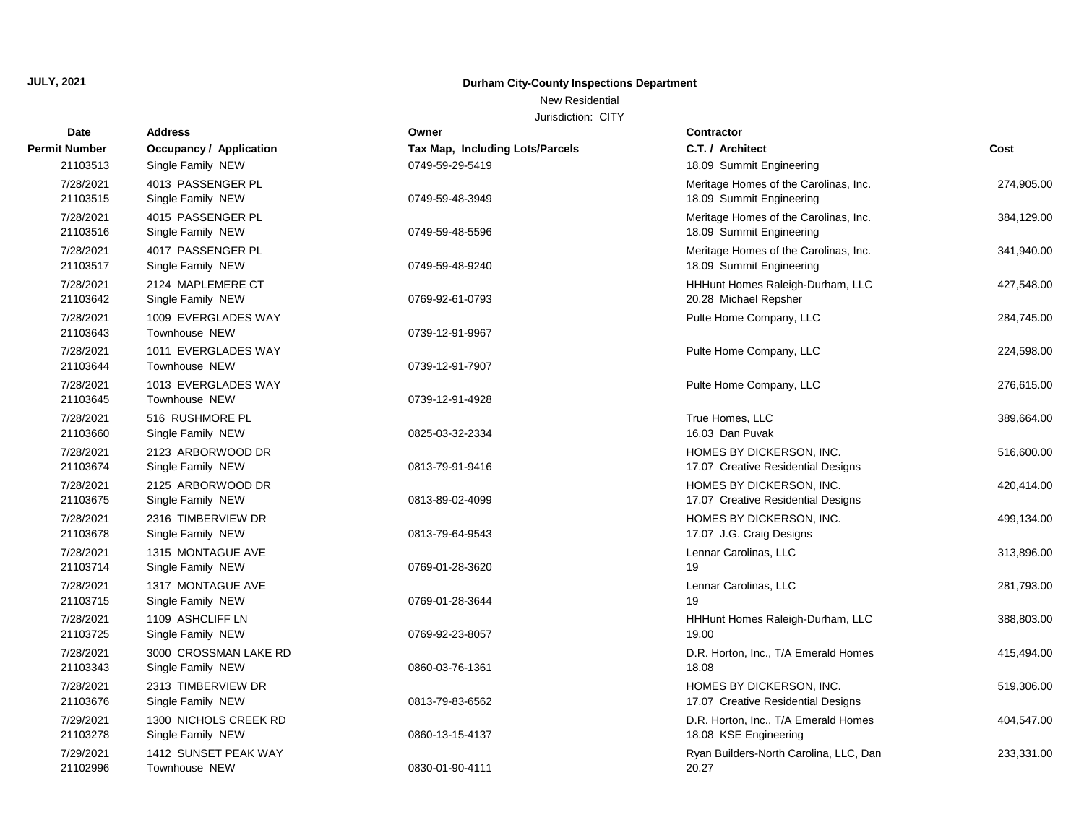# **Durham City-County Inspections Department**

# New Residential

| Date                  | <b>Address</b>                              | Owner                           | Contractor                                                        |            |
|-----------------------|---------------------------------------------|---------------------------------|-------------------------------------------------------------------|------------|
| Permit Number         | <b>Occupancy / Application</b>              | Tax Map, Including Lots/Parcels | C.T. / Architect                                                  | Cost       |
| 21103513              | Single Family NEW                           | 0749-59-29-5419                 | 18.09 Summit Engineering                                          |            |
| 7/28/2021<br>21103515 | 4013 PASSENGER PL<br>Single Family NEW      | 0749-59-48-3949                 | Meritage Homes of the Carolinas, Inc.<br>18.09 Summit Engineering | 274,905.00 |
| 7/28/2021<br>21103516 | 4015 PASSENGER PL<br>Single Family NEW      | 0749-59-48-5596                 | Meritage Homes of the Carolinas, Inc.<br>18.09 Summit Engineering | 384,129.00 |
| 7/28/2021<br>21103517 | 4017 PASSENGER PL<br>Single Family NEW      | 0749-59-48-9240                 | Meritage Homes of the Carolinas, Inc.<br>18.09 Summit Engineering | 341,940.00 |
| 7/28/2021<br>21103642 | 2124 MAPLEMERE CT<br>Single Family NEW      | 0769-92-61-0793                 | HHHunt Homes Raleigh-Durham, LLC<br>20.28 Michael Repsher         | 427,548.00 |
| 7/28/2021<br>21103643 | 1009 EVERGLADES WAY<br>Townhouse NEW        | 0739-12-91-9967                 | Pulte Home Company, LLC                                           | 284,745.00 |
| 7/28/2021<br>21103644 | 1011 EVERGLADES WAY<br>Townhouse NEW        | 0739-12-91-7907                 | Pulte Home Company, LLC                                           | 224,598.00 |
| 7/28/2021<br>21103645 | 1013 EVERGLADES WAY<br><b>Townhouse NEW</b> | 0739-12-91-4928                 | Pulte Home Company, LLC                                           | 276,615.00 |
| 7/28/2021<br>21103660 | 516 RUSHMORE PL<br>Single Family NEW        | 0825-03-32-2334                 | True Homes, LLC<br>16.03 Dan Puvak                                | 389,664.00 |
| 7/28/2021<br>21103674 | 2123 ARBORWOOD DR<br>Single Family NEW      | 0813-79-91-9416                 | HOMES BY DICKERSON, INC.<br>17.07 Creative Residential Designs    | 516,600.00 |
| 7/28/2021<br>21103675 | 2125 ARBORWOOD DR<br>Single Family NEW      | 0813-89-02-4099                 | HOMES BY DICKERSON, INC.<br>17.07 Creative Residential Designs    | 420,414.00 |
| 7/28/2021<br>21103678 | 2316 TIMBERVIEW DR<br>Single Family NEW     | 0813-79-64-9543                 | HOMES BY DICKERSON, INC.<br>17.07 J.G. Craig Designs              | 499,134.00 |
| 7/28/2021<br>21103714 | 1315 MONTAGUE AVE<br>Single Family NEW      | 0769-01-28-3620                 | Lennar Carolinas, LLC<br>19                                       | 313,896.00 |
| 7/28/2021<br>21103715 | 1317 MONTAGUE AVE<br>Single Family NEW      | 0769-01-28-3644                 | Lennar Carolinas, LLC<br>19                                       | 281,793.00 |
| 7/28/2021<br>21103725 | 1109 ASHCLIFF LN<br>Single Family NEW       | 0769-92-23-8057                 | HHHunt Homes Raleigh-Durham, LLC<br>19.00                         | 388,803.00 |
| 7/28/2021<br>21103343 | 3000 CROSSMAN LAKE RD<br>Single Family NEW  | 0860-03-76-1361                 | D.R. Horton, Inc., T/A Emerald Homes<br>18.08                     | 415,494.00 |
| 7/28/2021<br>21103676 | 2313 TIMBERVIEW DR<br>Single Family NEW     | 0813-79-83-6562                 | HOMES BY DICKERSON, INC.<br>17.07 Creative Residential Designs    | 519,306.00 |
| 7/29/2021<br>21103278 | 1300 NICHOLS CREEK RD<br>Single Family NEW  | 0860-13-15-4137                 | D.R. Horton, Inc., T/A Emerald Homes<br>18.08 KSE Engineering     | 404,547.00 |
| 7/29/2021<br>21102996 | 1412 SUNSET PEAK WAY<br>Townhouse NEW       | 0830-01-90-4111                 | Ryan Builders-North Carolina, LLC, Dan<br>20.27                   | 233,331.00 |